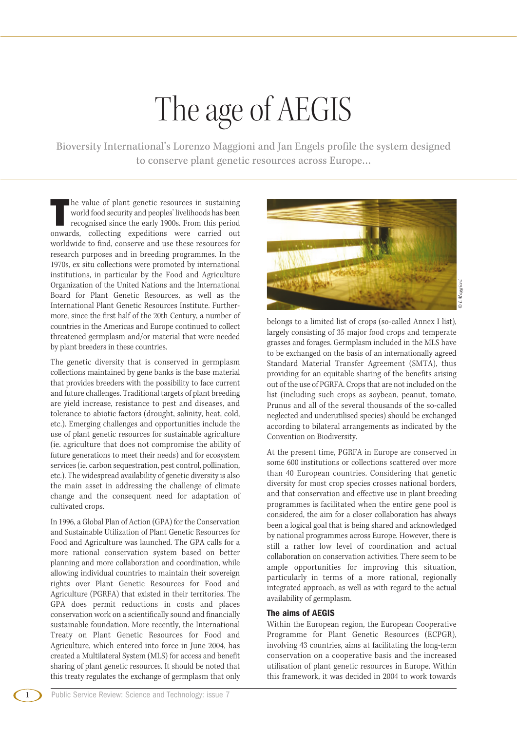Bioversity International's Lorenzo Maggioni and Jan Engels profile the system designed to conserve plant genetic resources across Europe…

**T** he value of plant genetic resources in sustaining world food security and peoples' livelihoods has been recognised since the early 1900s. From this period onwards, collecting expeditions were carried out worldwide to find, conserve and use these resources for research purposes and in breeding programmes. In the 1970s, ex situ collections were promoted by international institutions, in particular by the Food and Agriculture Organization of the United Nations and the International Board for Plant Genetic Resources, as well as the International Plant Genetic Resources Institute. Further more, since the first half of the 20th Century, a number of countries in the Americas and Europe continued to collect threatened germplasm and/or material that were needed by plant breeders in these countries.

The genetic diversity that is conserved in germplasm collections maintained by gene banks is the base material that provides breeders with the possibility to face current and future challenges. Traditional targets of plant breeding are yield increase, resistance to pest and diseases, and tolerance to abiotic factors (drought, salinity, heat, cold, etc.). Emerging challenges and opportunities include the use of plant genetic resources for sustainable agriculture (ie. agriculture that does not compromise the ability of future generations to meet their needs) and for ecosystem services (ie. carbon sequestration, pest control, pollination, etc.). The widespread availability of genetic diversity is also the main asset in addressing the challenge of climate change and the consequent need for adaptation of cultivated crops.

In 1996, a Global Plan of Action (GPA) for the Conservation and Sustainable Utilization of Plant Genetic Resources for Food and Agriculture was launched. The GPA calls for a more rational conservation system based on better planning and more collaboration and coordination, while allowing individual countries to maintain their sovereign rights over Plant Genetic Resources for Food and Agriculture (PGRFA) that existed in their territories. The GPA does permit reductions in costs and places conservation work on a scientifically sound and financially sustainable foundation. More recently, the International Treaty on Plant Genetic Resources for Food and Agriculture, which entered into force in June 2004, has created a Multilateral System (MLS) for access and benefit sharing of plant genetic resources. It should be noted that this treaty regulates the exchange of germplasm that only



belongs to a limited list of crops (so-called Annex I list), largely consisting of 35 major food crops and temperate grasses and forages. Germplasm included in the MLS have to be exchanged on the basis of an internationally agreed Standard Material Transfer Agreement (SMTA), thus providing for an equitable sharing of the benefits arising out of the use of PGRFA. Crops that are not included on the list (including such crops as soybean, peanut, tomato, Prunus and all of the several thousands of the so-called neglected and underutilised species) should be exchanged according to bilateral arrangements as indicated by the Convention on Biodiversity.

At the present time, PGRFA in Europe are conserved in some 600 institutions or collections scattered over more than 40 European countries. Considering that genetic diversity for most crop species crosses national borders, and that conservation and effective use in plant breeding programmes is facilitated when the entire gene pool is considered, the aim for a closer collaboration has always been a logical goal that is being shared and acknowledged by national programmes across Europe. However, there is still a rather low level of coordination and actual collaboration on conservation activities. There seem to be ample opportunities for improving this situation, particularly in terms of a more rational, regionally integrated approach, as well as with regard to the actual availability of germplasm.

## **The aims of AEGIS**

Within the European region, the European Cooperative Programme for Plant Genetic Resources (ECPGR), involving 43 countries, aims at facilitating the long-term conservation on a cooperative basis and the increased utilisation of plant genetic resources in Europe. Within this framework, it was decided in 2004 to work towards